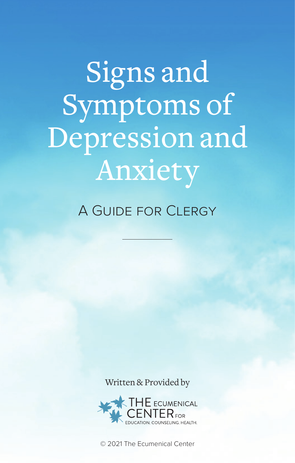Signs and Symptoms of Depression and Anxiety

A Guide for Clergy

Written & Provided by



© 2021 The Ecumenical Center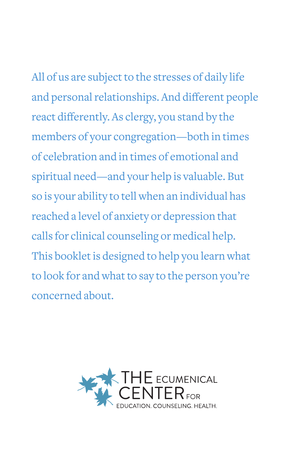All of us are subject to the stresses of daily life and personal relationships. And different people react differently. As clergy, you stand by the members of your congregation—both in times of celebration and in times of emotional and spiritual need—and your help is valuable. But so is your ability to tell when an individual has reached a level of anxiety or depression that calls for clinical counseling or medical help. This booklet is designed to help you learn what to look for and what to say to the person you're concerned about.

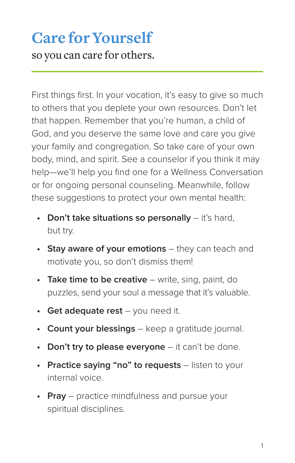# **Care for Yourself**

so you can care for others.

First things first. In your vocation, it's easy to give so much to others that you deplete your own resources. Don't let that happen. Remember that you're human, a child of God, and you deserve the same love and care you give your family and congregation. So take care of your own body, mind, and spirit. See a counselor if you think it may help—we'll help you find one for a Wellness Conversation or for ongoing personal counseling. Meanwhile, follow these suggestions to protect your own mental health:

- **• Don't take situations so personally** it's hard, but try.
- **• Stay aware of your emotions** they can teach and motivate you, so don't dismiss them!
- **• Take time to be creative** write, sing, paint, do puzzles, send your soul a message that it's valuable.
- **• Get adequate rest** you need it.
- **• Count your blessings** keep a gratitude journal.
- **• Don't try to please everyone** it can't be done.
- **• Practice saying "no" to requests** listen to your internal voice.
- **• Pray** practice mindfulness and pursue your spiritual disciplines.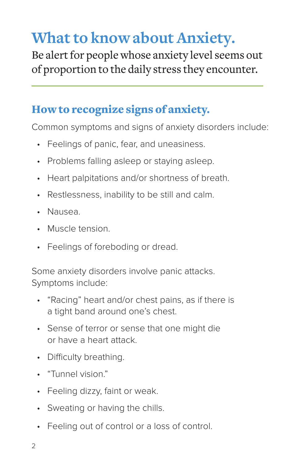## **What to know about Anxiety.**

Be alert for people whose anxiety level seems out of proportion to the daily stress they encounter.

### How to recognize signs of anxiety.

Common symptoms and signs of anxiety disorders include:

- Feelings of panic, fear, and uneasiness.
- Problems falling asleep or staying asleep.
- Heart palpitations and/or shortness of breath.
- Restlessness, inability to be still and calm.
- Nausea.
- Muscle tension.
- Feelings of foreboding or dread.

Some anxiety disorders involve panic attacks. Symptoms include:

- "Racing" heart and/or chest pains, as if there is a tight band around one's chest.
- Sense of terror or sense that one might die or have a heart attack.
- Difficulty breathing.
- "Tunnel vision."
- Feeling dizzy, faint or weak.
- Sweating or having the chills.
- Feeling out of control or a loss of control.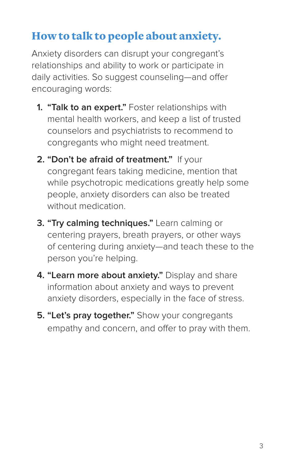## How to talk to people about anxiety.

Anxiety disorders can disrupt your congregant's relationships and ability to work or participate in daily activities. So suggest counseling—and offer encouraging words:

- **1. "Talk to an expert."** Foster relationships with mental health workers, and keep a list of trusted counselors and psychiatrists to recommend to congregants who might need treatment.
- **2. "Don't be afraid of treatment."** If your congregant fears taking medicine, mention that while psychotropic medications greatly help some people, anxiety disorders can also be treated without medication.
- **3. "Try calming techniques."** Learn calming or centering prayers, breath prayers, or other ways of centering during anxiety—and teach these to the person you're helping.
- **4. "Learn more about anxiety."** Display and share information about anxiety and ways to prevent anxiety disorders, especially in the face of stress.
- **5. "Let's pray together."** Show your congregants empathy and concern, and offer to pray with them.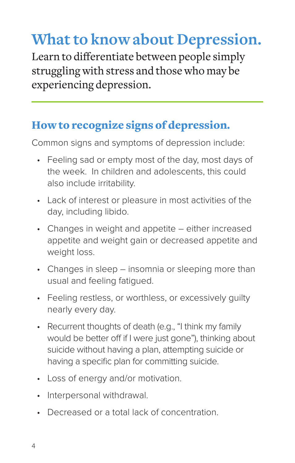# **What to know about Depression.**

Learn to differentiate between people simply struggling with stress and those who may be experiencing depression.

## How to recognize signs of depression.

Common signs and symptoms of depression include:

- Feeling sad or empty most of the day, most days of the week. In children and adolescents, this could also include irritability.
- Lack of interest or pleasure in most activities of the day, including libido.
- Changes in weight and appetite either increased appetite and weight gain or decreased appetite and weight loss.
- Changes in sleep insomnia or sleeping more than usual and feeling fatigued.
- Feeling restless, or worthless, or excessively guilty nearly every day.
- Recurrent thoughts of death (e.g., "I think my family would be better off if I were just gone"), thinking about suicide without having a plan, attempting suicide or having a specific plan for committing suicide.
- Loss of energy and/or motivation.
- Interpersonal withdrawal.
- Decreased or a total lack of concentration.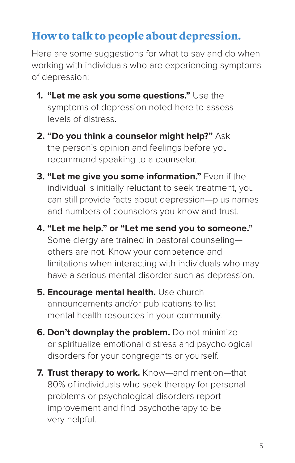### How to talk to people about depression.

Here are some suggestions for what to say and do when working with individuals who are experiencing symptoms of depression:

- **1. "Let me ask you some questions."** Use the symptoms of depression noted here to assess levels of distress.
- **2. "Do you think a counselor might help?"** Ask the person's opinion and feelings before you recommend speaking to a counselor.
- **3. "Let me give you some information."** Even if the individual is initially reluctant to seek treatment, you can still provide facts about depression—plus names and numbers of counselors you know and trust.
- **4. "Let me help." or "Let me send you to someone."**  Some clergy are trained in pastoral counseling others are not. Know your competence and limitations when interacting with individuals who may have a serious mental disorder such as depression.
- **5. Encourage mental health.** Use church announcements and/or publications to list mental health resources in your community.
- **6. Don't downplay the problem.** Do not minimize or spiritualize emotional distress and psychological disorders for your congregants or yourself.
- **7. Trust therapy to work.** Know—and mention—that 80% of individuals who seek therapy for personal problems or psychological disorders report improvement and find psychotherapy to be very helpful.